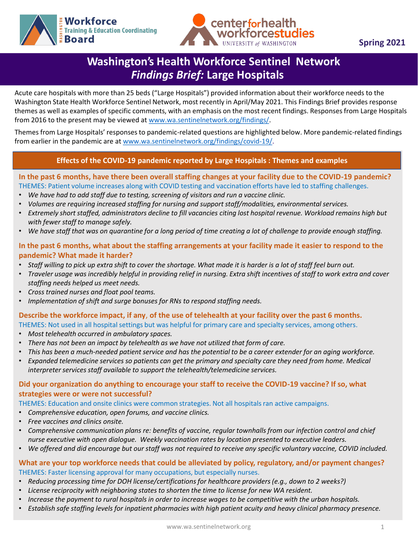



# **Washington's Health Workforce Sentinel Network** *Findings Brief:* **Large Hospitals**

Acute care hospitals with more than 25 beds ("Large Hospitals") provided information about their workforce needs to the Washington State Health Workforce Sentinel Network, most recently in April/May 2021. This Findings Brief provides response themes as well as examples of specific comments, with an emphasis on the most recent findings. Responses from Large Hospitals from 2016 to the present may be viewed at [www.wa.sentinelnetwork.org/findings/](http://www.wa.sentinelnetwork.org/findings/).

Themes from Large Hospitals' responses to pandemic-related questions are highlighted below. More pandemic-related findings from earlier in the pandemic are at [www.wa.sentinelnetwork.org/findings/covid-19/](https://wa.sentinelnetwork.org/findings/covid-19/).

#### **Effects of the COVID-19 pandemic reported by Large Hospitals : Themes and examples**

### **Nursing Homes/Skilled Nursing - Occupations with exceptionally long vacancies: 2016-2020** THEMES: Patient volume increases along with COVID testing and vaccination efforts have led to staffing challenges. **In the past 6 months, have there been overall staffing changes at your facility due to the COVID-19 pandemic?**

- *We have had to add staff due to testing, screening of visitors and run a vaccine clinic.*
- *Volumes are requiring increased staffing for nursing and support staff/modalities, environmental services.*
- *Extremely short staffed, administrators decline to fill vacancies citing lost hospital revenue. Workload remains high but with fewer staff to manage safely.*
- *We have staff that was on quarantine for a long period of time creating a lot of challenge to provide enough staffing.*

### **In the past 6 months, what about the staffing arrangements at your facility made it easier to respond to the pandemic? What made it harder?**

- *Staff willing to pick up extra shift to cover the shortage. What made it is harder is a lot of staff feel burn out.*
- *Traveler usage was incredibly helpful in providing relief in nursing. Extra shift incentives of staff to work extra and cover staffing needs helped us meet needs.*
- *Cross trained nurses and float pool teams.*
- *Implementation of shift and surge bonuses for RNs to respond staffing needs.*

### **Describe the workforce impact, if any**, **of the use of telehealth at your facility over the past 6 months.**

- THEMES: Not used in all hospital settings but was helpful for primary care and specialty services, among others.
- *Most telehealth occurred in ambulatory spaces.*
- *There has not been an impact by telehealth as we have not utilized that form of care.*
- *This has been a much-needed patient service and has the potential to be a career extender for an aging workforce.*
- *Expanded telemedicine services so patients can get the primary and specialty care they need from home. Medical interpreter services staff available to support the telehealth/telemedicine services.*

#### **Did your organization do anything to encourage your staff to receive the COVID-19 vaccine? If so, what strategies were or were not successful?**

THEMES: Education and onsite clinics were common strategies. Not all hospitals ran active campaigns.

- *Comprehensive education, open forums, and vaccine clinics.*
- *Free vaccines and clinics onsite.*
- *Comprehensive communication plans re: benefits of vaccine, regular townhalls from our infection control and chief nurse executive with open dialogue. Weekly vaccination rates by location presented to executive leaders.*
- *We offered and did encourage but our staff was not required to receive any specific voluntary vaccine, COVID included.*

#### **What are your top workforce needs that could be alleviated by policy, regulatory, and/or payment changes?**  THEMES: Faster licensing approval for many occupations, but especially nurses.

- *Reducing processing time for DOH license/certifications for healthcare providers (e.g., down to 2 weeks?)*
- *License reciprocity with neighboring states to shorten the time to license for new WA resident.*
- *Increase the payment to rural hospitals in order to increase wages to be competitive with the urban hospitals.*
- *Establish safe staffing levels for inpatient pharmacies with high patient acuity and heavy clinical pharmacy presence.*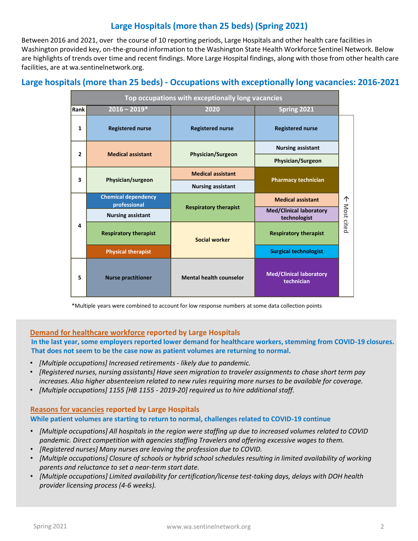# **Large Hospitals (more than 25 beds) (Spring 2021)**

Between 2016 and 2021, over the course of 10 reporting periods, Large Hospitals and other health care facilities in Washington provided key, on-the-ground information to the Washington State Health Workforce Sentinel Network. Below are highlights of trends over time and recent findings. More Large Hospital findings, along with those from other health care facilities, are at wa.sentinelnetwork.org.

## **Large hospitals (more than 25 beds) - Occupations with exceptionally long vacancies: 2016-2021**

| Top occupations with exceptionally long vacancies |                                            |                                |                                                |                 |
|---------------------------------------------------|--------------------------------------------|--------------------------------|------------------------------------------------|-----------------|
| Rank                                              | $2016 - 2019*$                             | 2020                           | Spring 2021                                    |                 |
| $\mathbf{1}$                                      | <b>Registered nurse</b>                    | <b>Registered nurse</b>        | <b>Registered nurse</b>                        |                 |
| $\overline{2}$                                    | <b>Medical assistant</b>                   | <b>Physician/Surgeon</b>       | <b>Nursing assistant</b>                       | 个<br>Most cited |
|                                                   |                                            |                                | <b>Physician/Surgeon</b>                       |                 |
| 3                                                 | Physician/surgeon                          | <b>Medical assistant</b>       | <b>Pharmacy technician</b>                     |                 |
|                                                   |                                            | <b>Nursing assistant</b>       |                                                |                 |
| 4                                                 | <b>Chemical dependency</b><br>professional | <b>Respiratory therapist</b>   | <b>Medical assistant</b>                       |                 |
|                                                   | <b>Nursing assistant</b>                   |                                | <b>Med/Clinical laboratory</b><br>technologist |                 |
|                                                   | <b>Respiratory therapist</b>               | <b>Social worker</b>           | <b>Respiratory therapist</b>                   |                 |
|                                                   | <b>Physical therapist</b>                  |                                | <b>Surgical technologist</b>                   |                 |
| 5                                                 | <b>Nurse practitioner</b>                  | <b>Mental health counselor</b> | <b>Med/Clinical laboratory</b><br>technician   |                 |

\*Multiple years were combined to account for low response numbers at some data collection points

#### **Demand for healthcare workforce reported by Large Hospitals**

**In the last year, some employers reported lower demand for healthcare workers, stemming from COVID-19 closures. That does not seem to be the case now as patient volumes are returning to normal.**

- *[Multiple occupations] Increased retirements - likely due to pandemic.*
- *[Registered nurses, nursing assistants] Have seen migration to traveler assignments to chase short term pay increases. Also higher absenteeism related to new rules requiring more nurses to be available for coverage.*
- *[Multiple occupations] 1155 [HB 1155 - 2019-20] required us to hire additional staff.*

#### **Reasons for vacancies reported by Large Hospitals While patient volumes are starting to return to normal, challenges related to COVID-19 continue**

- *[Multiple occupations] All hospitals in the region were staffing up due to increased volumes related to COVID pandemic. Direct competition with agencies staffing Travelers and offering excessive wages to them.*
- *[Registered nurses] Many nurses are leaving the profession due to COVID.*
- *[Multiple occupations] Closure of schools or hybrid school schedules resulting in limited availability of working parents and reluctance to set a near-term start date.*
- *[Multiple occupations] Limited availability for certification/license test-taking days, delays with DOH health provider licensing process (4-6 weeks).*